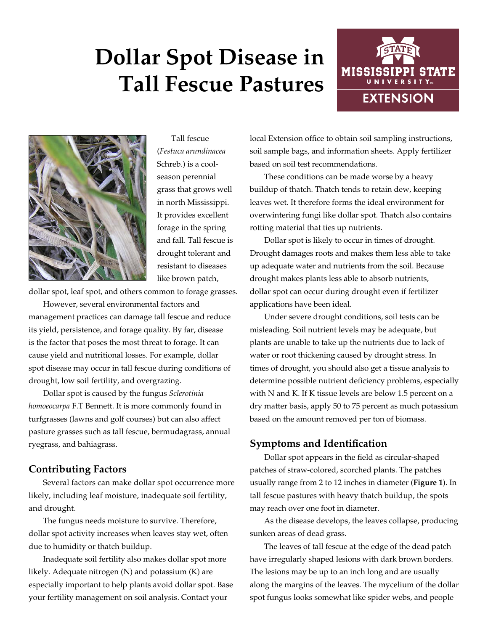# **Dollar Spot Disease in Tall Fescue Pastures**





Tall fescue (*Festuca arundinacea*  Schreb.) is a coolseason perennial grass that grows well in north Mississippi. It provides excellent forage in the spring and fall. Tall fescue is drought tolerant and resistant to diseases like brown patch,

dollar spot, leaf spot, and others common to forage grasses.

However, several environmental factors and management practices can damage tall fescue and reduce its yield, persistence, and forage quality. By far, disease is the factor that poses the most threat to forage. It can cause yield and nutritional losses. For example, dollar spot disease may occur in tall fescue during conditions of drought, low soil fertility, and overgrazing.

Dollar spot is caused by the fungus *Sclerotinia homoeocarpa* F.T Bennett. It is more commonly found in turfgrasses (lawns and golf courses) but can also affect pasture grasses such as tall fescue, bermudagrass, annual ryegrass, and bahiagrass.

### **Contributing Factors**

Several factors can make dollar spot occurrence more likely, including leaf moisture, inadequate soil fertility, and drought.

The fungus needs moisture to survive. Therefore, dollar spot activity increases when leaves stay wet, often due to humidity or thatch buildup.

Inadequate soil fertility also makes dollar spot more likely. Adequate nitrogen (N) and potassium (K) are especially important to help plants avoid dollar spot. Base your fertility management on soil analysis. Contact your

local Extension office to obtain soil sampling instructions, soil sample bags, and information sheets. Apply fertilizer based on soil test recommendations.

These conditions can be made worse by a heavy buildup of thatch. Thatch tends to retain dew, keeping leaves wet. It therefore forms the ideal environment for overwintering fungi like dollar spot. Thatch also contains rotting material that ties up nutrients.

Dollar spot is likely to occur in times of drought. Drought damages roots and makes them less able to take up adequate water and nutrients from the soil. Because drought makes plants less able to absorb nutrients, dollar spot can occur during drought even if fertilizer applications have been ideal.

Under severe drought conditions, soil tests can be misleading. Soil nutrient levels may be adequate, but plants are unable to take up the nutrients due to lack of water or root thickening caused by drought stress. In times of drought, you should also get a tissue analysis to determine possible nutrient deficiency problems, especially with N and K. If K tissue levels are below 1.5 percent on a dry matter basis, apply 50 to 75 percent as much potassium based on the amount removed per ton of biomass.

### **Symptoms and Identification**

Dollar spot appears in the field as circular-shaped patches of straw-colored, scorched plants. The patches usually range from 2 to 12 inches in diameter (**Figure 1**). In tall fescue pastures with heavy thatch buildup, the spots may reach over one foot in diameter.

As the disease develops, the leaves collapse, producing sunken areas of dead grass.

The leaves of tall fescue at the edge of the dead patch have irregularly shaped lesions with dark brown borders. The lesions may be up to an inch long and are usually along the margins of the leaves. The mycelium of the dollar spot fungus looks somewhat like spider webs, and people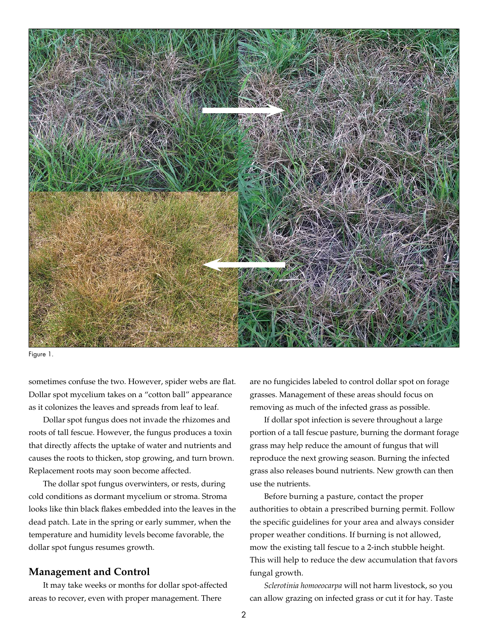

Figure 1.

sometimes confuse the two. However, spider webs are flat. Dollar spot mycelium takes on a "cotton ball" appearance as it colonizes the leaves and spreads from leaf to leaf.

Dollar spot fungus does not invade the rhizomes and roots of tall fescue. However, the fungus produces a toxin that directly affects the uptake of water and nutrients and causes the roots to thicken, stop growing, and turn brown. Replacement roots may soon become affected.

The dollar spot fungus overwinters, or rests, during cold conditions as dormant mycelium or stroma. Stroma looks like thin black flakes embedded into the leaves in the dead patch. Late in the spring or early summer, when the temperature and humidity levels become favorable, the dollar spot fungus resumes growth.

#### **Management and Control**

It may take weeks or months for dollar spot-affected areas to recover, even with proper management. There

are no fungicides labeled to control dollar spot on forage grasses. Management of these areas should focus on removing as much of the infected grass as possible.

If dollar spot infection is severe throughout a large portion of a tall fescue pasture, burning the dormant forage grass may help reduce the amount of fungus that will reproduce the next growing season. Burning the infected grass also releases bound nutrients. New growth can then use the nutrients.

Before burning a pasture, contact the proper authorities to obtain a prescribed burning permit. Follow the specific guidelines for your area and always consider proper weather conditions. If burning is not allowed, mow the existing tall fescue to a 2-inch stubble height. This will help to reduce the dew accumulation that favors fungal growth.

*Sclerotinia homoeocarpa* will not harm livestock, so you can allow grazing on infected grass or cut it for hay. Taste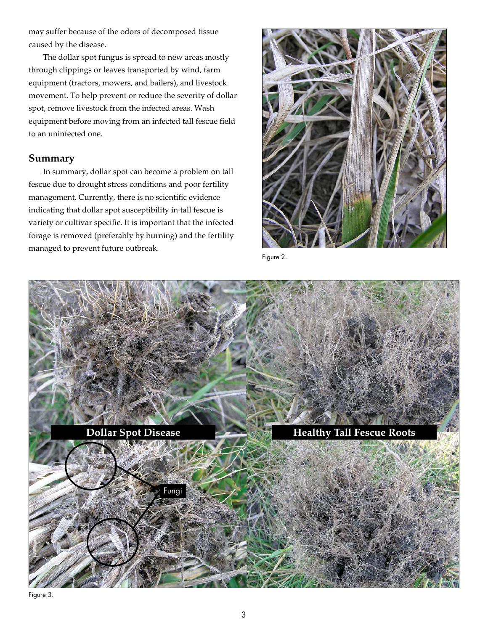may suffer because of the odors of decomposed tissue caused by the disease.

The dollar spot fungus is spread to new areas mostly through clippings or leaves transported by wind, farm equipment (tractors, mowers, and bailers), and livestock movement. To help prevent or reduce the severity of dollar spot, remove livestock from the infected areas. Wash equipment before moving from an infected tall fescue field to an uninfected one.

## **Summary**

In summary, dollar spot can become a problem on tall fescue due to drought stress conditions and poor fertility management. Currently, there is no scientific evidence indicating that dollar spot susceptibility in tall fescue is variety or cultivar specific. It is important that the infected forage is removed (preferably by burning) and the fertility managed to prevent future outbreak.



Figure 2.



Figure 3.